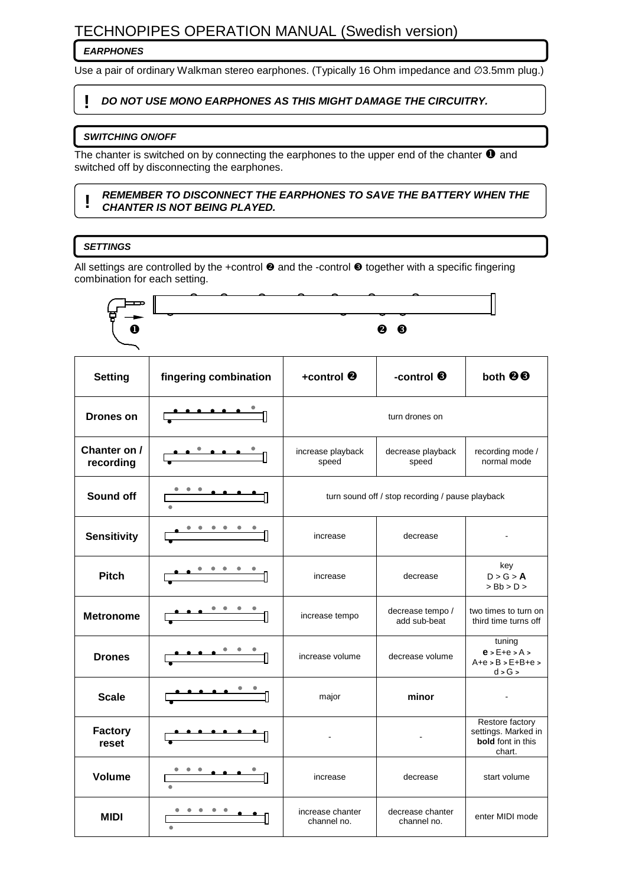# TECHNOPIPES OPERATION MANUAL (Swedish version)

# **EARPHONES**

Use a pair of ordinary Walkman stereo earphones. (Typically 16 Ohm impedance and ∅3.5mm plug.)

# **! DO NOT USE MONO EARPHONES AS THIS MIGHT DAMAGE THE CIRCUITRY.**

#### **SWITCHING ON/OFF**

The chanter is switched on by connecting the earphones to the upper end of the chanter  $\bullet$  and switched off by disconnecting the earphones.

#### **! REMEMBER TO DISCONNECT THE EARPHONES TO SAVE THE BATTERY WHEN THE CHANTER IS NOT BEING PLAYED.**

# **SETTINGS**

All settings are controlled by the +control  $\bullet$  and the -control  $\bullet$  together with a specific fingering combination for each setting.



channel no.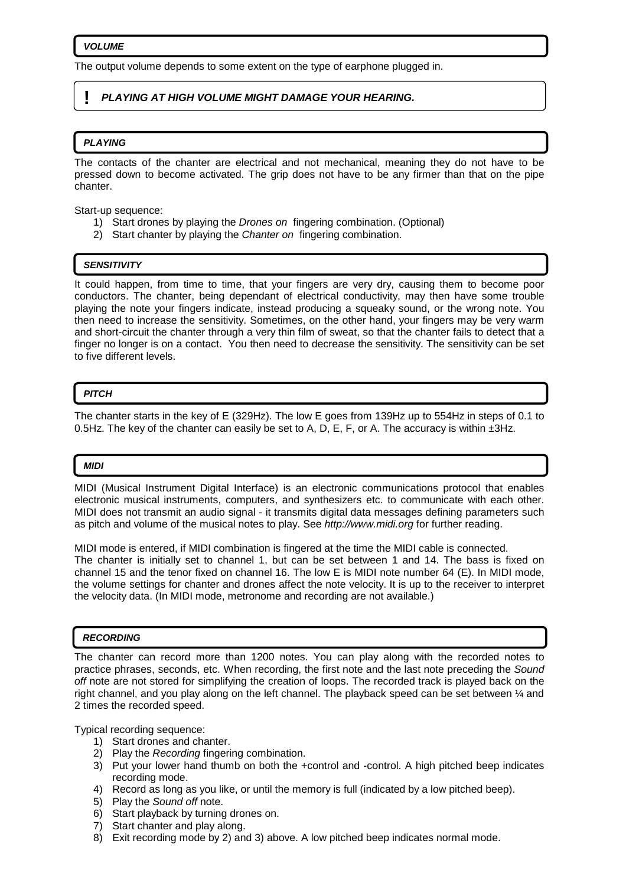The output volume depends to some extent on the type of earphone plugged in.

# **! PLAYING AT HIGH VOLUME MIGHT DAMAGE YOUR HEARING.**

#### **PLAYING**

The contacts of the chanter are electrical and not mechanical, meaning they do not have to be pressed down to become activated. The grip does not have to be any firmer than that on the pipe chanter.

Start-up sequence:

- 1) Start drones by playing the Drones on fingering combination. (Optional)
- 2) Start chanter by playing the Chanter on fingering combination.

#### **SENSITIVITY**

It could happen, from time to time, that your fingers are very dry, causing them to become poor conductors. The chanter, being dependant of electrical conductivity, may then have some trouble playing the note your fingers indicate, instead producing a squeaky sound, or the wrong note. You then need to increase the sensitivity. Sometimes, on the other hand, your fingers may be very warm and short-circuit the chanter through a very thin film of sweat, so that the chanter fails to detect that a finger no longer is on a contact. You then need to decrease the sensitivity. The sensitivity can be set to five different levels.

# **PITCH**

The chanter starts in the key of E (329Hz). The low E goes from 139Hz up to 554Hz in steps of 0.1 to 0.5Hz. The key of the chanter can easily be set to A, D, E, F, or A. The accuracy is within  $\pm 3$ Hz.

#### **MIDI**

MIDI (Musical Instrument Digital Interface) is an electronic communications protocol that enables electronic musical instruments, computers, and synthesizers etc. to communicate with each other. MIDI does not transmit an audio signal - it transmits digital data messages defining parameters such as pitch and volume of the musical notes to play. See http://www.midi.org for further reading.

MIDI mode is entered, if MIDI combination is fingered at the time the MIDI cable is connected. The chanter is initially set to channel 1, but can be set between 1 and 14. The bass is fixed on channel 15 and the tenor fixed on channel 16. The low E is MIDI note number 64 (E). In MIDI mode, the volume settings for chanter and drones affect the note velocity. It is up to the receiver to interpret the velocity data. (In MIDI mode, metronome and recording are not available.)

#### **RECORDING**

The chanter can record more than 1200 notes. You can play along with the recorded notes to practice phrases, seconds, etc. When recording, the first note and the last note preceding the Sound off note are not stored for simplifying the creation of loops. The recorded track is played back on the right channel, and you play along on the left channel. The playback speed can be set between ¼ and 2 times the recorded speed.

Typical recording sequence:

- 1) Start drones and chanter.
- 2) Play the Recording fingering combination.
- 3) Put your lower hand thumb on both the +control and -control. A high pitched beep indicates recording mode.
- 4) Record as long as you like, or until the memory is full (indicated by a low pitched beep).
- 5) Play the Sound off note.
- 6) Start playback by turning drones on.
- 7) Start chanter and play along.
- 8) Exit recording mode by 2) and 3) above. A low pitched beep indicates normal mode.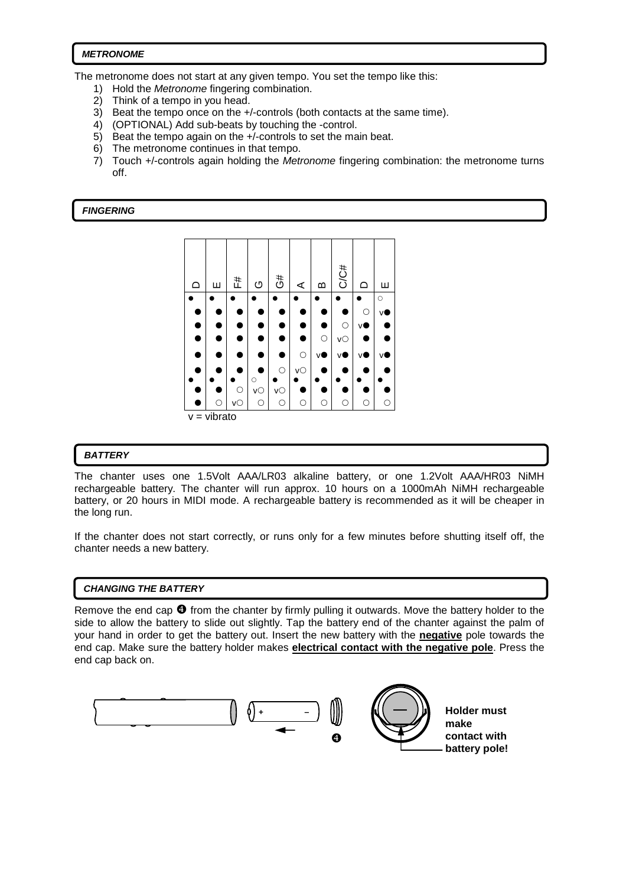# **METRONOME**

The metronome does not start at any given tempo. You set the tempo like this:

- 1) Hold the Metronome fingering combination.
- 2) Think of a tempo in you head.
- 3) Beat the tempo once on the +/-controls (both contacts at the same time).
- 4) (OPTIONAL) Add sub-beats by touching the -control.
- 5) Beat the tempo again on the +/-controls to set the main beat.
- 6) The metronome continues in that tempo.
- 7) Touch +/-controls again holding the Metronome fingering combination: the metronome turns off.

#### **FINGERING**



# **BATTERY**

 $\overline{a}$ 

The chanter uses one 1.5Volt AAA/LR03 alkaline battery, or one 1.2Volt AAA/HR03 NiMH rechargeable battery. The chanter will run approx. 10 hours on a 1000mAh NiMH rechargeable battery, or 20 hours in MIDI mode. A rechargeable battery is recommended as it will be cheaper in the long run.

If the chanter does not start correctly, or runs only for a few minutes before shutting itself off, the chanter needs a new battery.

# **CHANGING THE BATTERY**

Remove the end cap  $\bullet$  from the chanter by firmly pulling it outwards. Move the battery holder to the side to allow the battery to slide out slightly. Tap the battery end of the chanter against the palm of your hand in order to get the battery out. Insert the new battery with the **negative** pole towards the end cap. Make sure the battery holder makes **electrical contact with the negative pole**. Press the end cap back on.



**battery pole!**